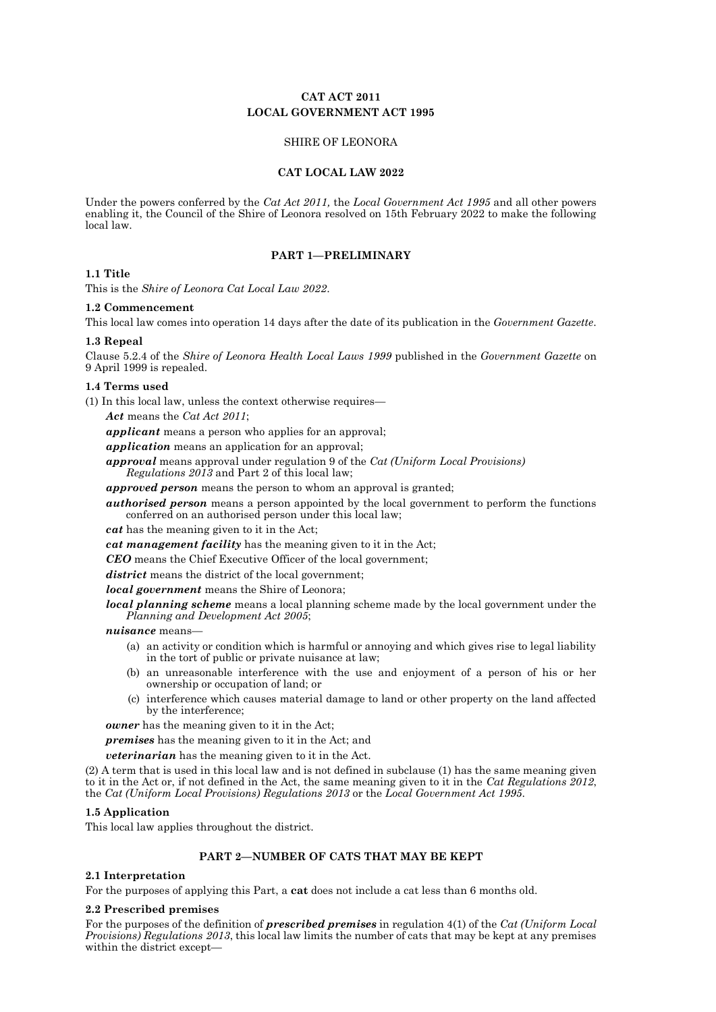# **CAT ACT 2011 LOCAL GOVERNMENT ACT 1995**

# SHIRE OF LEONORA

### **CAT LOCAL LAW 2022**

Under the powers conferred by the *Cat Act 2011,* the *Local Government Act 1995* and all other powers enabling it, the Council of the Shire of Leonora resolved on 15th February 2022 to make the following local law.

### **PART 1—PRELIMINARY**

# **1.1 Title**

This is the *Shire of Leonora Cat Local Law 2022*.

### **1.2 Commencement**

This local law comes into operation 14 days after the date of its publication in the *Government Gazette*.

### **1.3 Repeal**

Clause 5.2.4 of the *Shire of Leonora Health Local Laws 1999* published in the *Government Gazette* on 9 April 1999 is repealed.

## **1.4 Terms used**

(1) In this local law, unless the context otherwise requires—

*Act* means the *Cat Act 2011*;

*applicant* means a person who applies for an approval;

*application* means an application for an approval;

*approval* means approval under regulation 9 of the *Cat (Uniform Local Provisions) Regulations 2013* and Part 2 of this local law;

*approved person* means the person to whom an approval is granted;

*authorised person* means a person appointed by the local government to perform the functions conferred on an authorised person under this local law;

*cat* has the meaning given to it in the Act;

- *cat management facility* has the meaning given to it in the Act;
- *CEO* means the Chief Executive Officer of the local government;

*district* means the district of the local government;

*local government* means the Shire of Leonora;

*local planning scheme* means a local planning scheme made by the local government under the *Planning and Development Act 2005*;

*nuisance* means—

- (a) an activity or condition which is harmful or annoying and which gives rise to legal liability in the tort of public or private nuisance at law;
- (b) an unreasonable interference with the use and enjoyment of a person of his or her ownership or occupation of land; or
- (c) interference which causes material damage to land or other property on the land affected by the interference;

*owner* has the meaning given to it in the Act;

*premises* has the meaning given to it in the Act; and

*veterinarian* has the meaning given to it in the Act.

(2) A term that is used in this local law and is not defined in subclause (1) has the same meaning given to it in the Act or, if not defined in the Act, the same meaning given to it in the *Cat Regulations 2012*, the *Cat (Uniform Local Provisions) Regulations 2013* or the *Local Government Act 1995*.

## **1.5 Application**

This local law applies throughout the district.

## **PART 2—NUMBER OF CATS THAT MAY BE KEPT**

## **2.1 Interpretation**

For the purposes of applying this Part, a **cat** does not include a cat less than 6 months old.

#### **2.2 Prescribed premises**

For the purposes of the definition of *prescribed premises* in regulation 4(1) of the *Cat (Uniform Local Provisions) Regulations 2013*, this local law limits the number of cats that may be kept at any premises within the district except—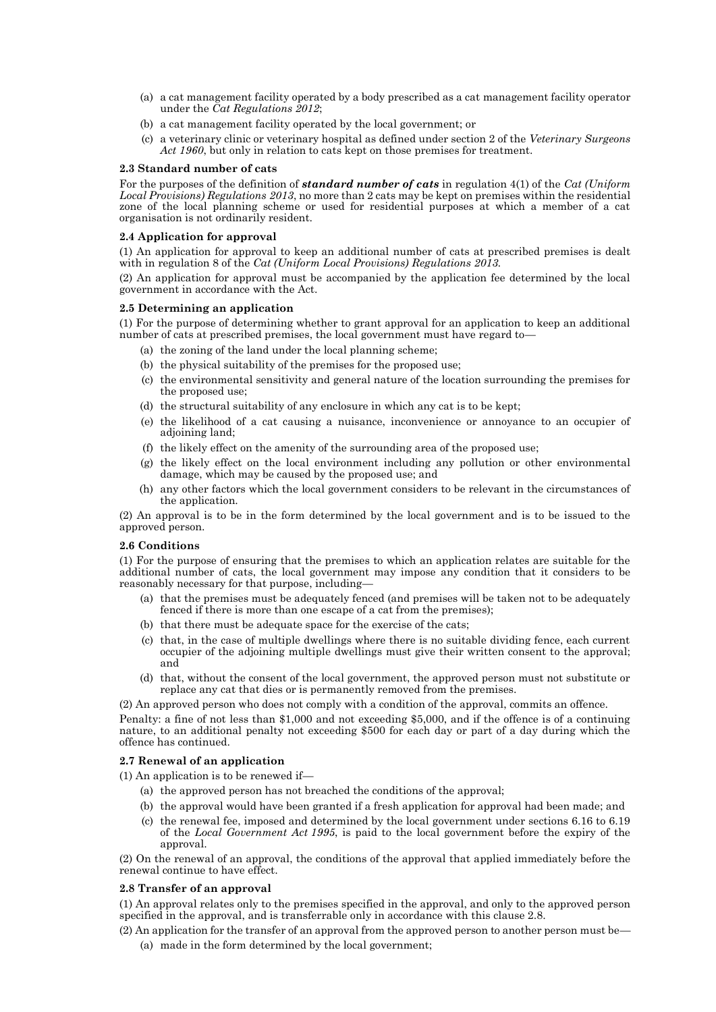- (a) a cat management facility operated by a body prescribed as a cat management facility operator under the *Cat Regulations 2012*;
- (b) a cat management facility operated by the local government; or
- (c) a veterinary clinic or veterinary hospital as defined under section 2 of the *Veterinary Surgeons Act 1960*, but only in relation to cats kept on those premises for treatment.

### **2.3 Standard number of cats**

For the purposes of the definition of *standard number of cats* in regulation 4(1) of the *Cat (Uniform Local Provisions) Regulations 2013*, no more than 2 cats may be kept on premises within the residential zone of the local planning scheme or used for residential purposes at which a member of a cat organisation is not ordinarily resident.

### **2.4 Application for approval**

(1) An application for approval to keep an additional number of cats at prescribed premises is dealt with in regulation 8 of the *Cat (Uniform Local Provisions) Regulations 2013.*

(2) An application for approval must be accompanied by the application fee determined by the local government in accordance with the Act.

## **2.5 Determining an application**

(1) For the purpose of determining whether to grant approval for an application to keep an additional number of cats at prescribed premises, the local government must have regard to—

- (a) the zoning of the land under the local planning scheme;
- (b) the physical suitability of the premises for the proposed use;
- (c) the environmental sensitivity and general nature of the location surrounding the premises for the proposed use;
- (d) the structural suitability of any enclosure in which any cat is to be kept;
- (e) the likelihood of a cat causing a nuisance, inconvenience or annoyance to an occupier of adjoining land;
- (f) the likely effect on the amenity of the surrounding area of the proposed use;
- (g) the likely effect on the local environment including any pollution or other environmental damage, which may be caused by the proposed use; and
- (h) any other factors which the local government considers to be relevant in the circumstances of the application.

(2) An approval is to be in the form determined by the local government and is to be issued to the approved person.

#### **2.6 Conditions**

(1) For the purpose of ensuring that the premises to which an application relates are suitable for the additional number of cats, the local government may impose any condition that it considers to be reasonably necessary for that purpose, including—

- (a) that the premises must be adequately fenced (and premises will be taken not to be adequately fenced if there is more than one escape of a cat from the premises);
- (b) that there must be adequate space for the exercise of the cats;
- (c) that, in the case of multiple dwellings where there is no suitable dividing fence, each current occupier of the adjoining multiple dwellings must give their written consent to the approval; and
- (d) that, without the consent of the local government, the approved person must not substitute or replace any cat that dies or is permanently removed from the premises.

(2) An approved person who does not comply with a condition of the approval, commits an offence.

Penalty: a fine of not less than \$1,000 and not exceeding \$5,000, and if the offence is of a continuing nature, to an additional penalty not exceeding \$500 for each day or part of a day during which the offence has continued.

## **2.7 Renewal of an application**

(1) An application is to be renewed if—

- (a) the approved person has not breached the conditions of the approval;
- (b) the approval would have been granted if a fresh application for approval had been made; and
- (c) the renewal fee, imposed and determined by the local government under sections 6.16 to 6.19 of the *Local Government Act 1995*, is paid to the local government before the expiry of the approval.

(2) On the renewal of an approval, the conditions of the approval that applied immediately before the renewal continue to have effect.

## **2.8 Transfer of an approval**

(1) An approval relates only to the premises specified in the approval, and only to the approved person specified in the approval, and is transferrable only in accordance with this clause 2.8.

- (2) An application for the transfer of an approval from the approved person to another person must be—
	- (a) made in the form determined by the local government;